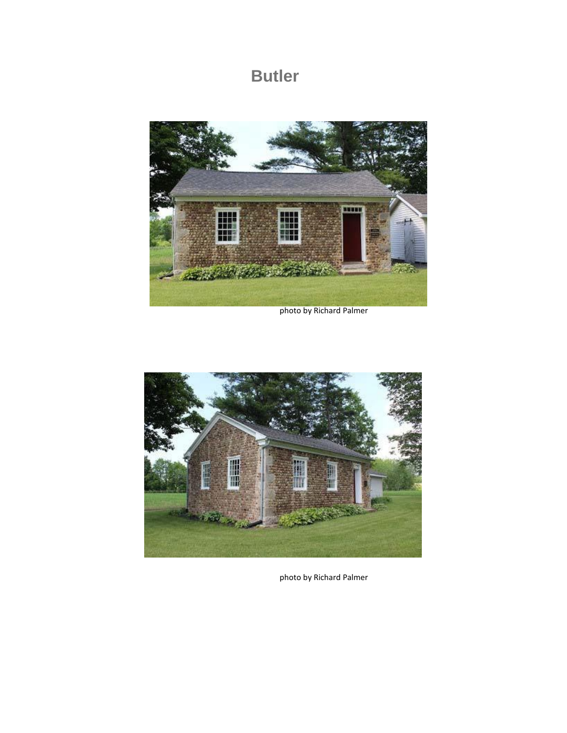## **Butler**



photo by Richard Palmer



photo by Richard Palmer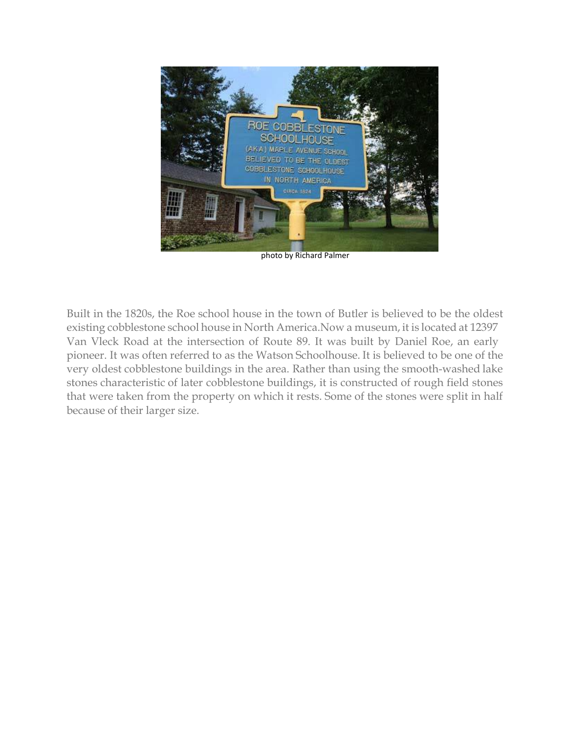

photo by Richard Palmer

Built in the 1820s, the Roe school house in the town of Butler is believed to be the oldest existing cobblestone school house in North America.Now a museum, it is located at 12397 Van Vleck Road at the intersection of Route 89. It was built by Daniel Roe, an early pioneer. It was often referred to as the Watson Schoolhouse. It is believed to be one of the very oldest cobblestone buildings in the area. Rather than using the smooth-washed lake stones characteristic of later cobblestone buildings, it is constructed of rough field stones that were taken from the property on which it rests. Some of the stones were split in half because of their larger size.